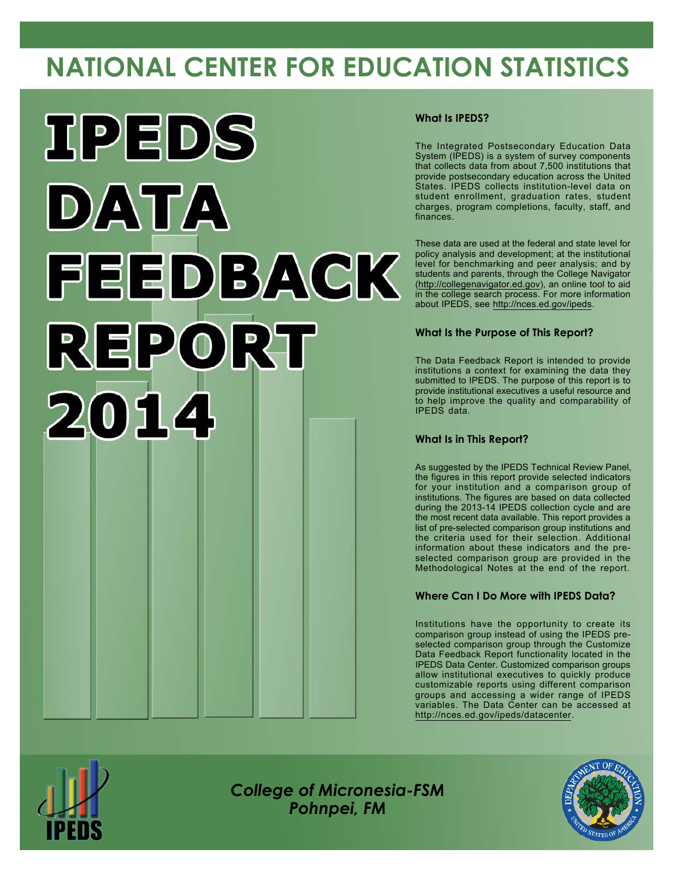# **NATIONAL CENTER FOR EDUCATION STATISTICS**



#### **What Is IPEDS?**

The Integrated Postsecondary Education Data System (IPEDS) is a system of survey components that collects data from about 7,500 institutions that provide postsecondary education across the United States. IPEDS collects institution-level data on student enrollment, graduation rates, student charges, program completions, faculty, staff, and finances.

These data are used at the federal and state level for policy analysis and development; at the institutional level for benchmarking and peer analysis; and by students and parents, through the College Navigator [\(http://collegenavigator.ed.gov](http://collegenavigator.ed.gov)), an online tool to aid in the college search process. For more information about IPEDS, see <http://nces.ed.gov/ipeds>.

#### **What Is the Purpose of This Report?**

The Data Feedback Report is intended to provide institutions a context for examining the data they submitted to IPEDS. The purpose of this report is to provide institutional executives a useful resource and to help improve the quality and comparability of IPEDS data.

#### **What Is in This Report?**

As suggested by the IPEDS Technical Review Panel, the figures in this report provide selected indicators for your institution and a comparison group of institutions. The figures are based on data collected during the 2013-14 IPEDS collection cycle and are the most recent data available. This report provides a list of pre-selected comparison group institutions and the criteria used for their selection. Additional information about these indicators and the preselected comparison group are provided in the Methodological Notes at the end of the report.

#### **Where Can I Do More with IPEDS Data?**

Institutions have the opportunity to create its comparison group instead of using the IPEDS preselected comparison group through the Customize Data Feedback Report functionality located in the IPEDS Data Center. Customized comparison groups allow institutional executives to quickly produce customizable reports using different comparison groups and accessing a wider range of IPEDS variables. The Data Center can be accessed at <http://nces.ed.gov/ipeds/datacenter>.



*College of Micronesia-FSM Pohnpei, FM*

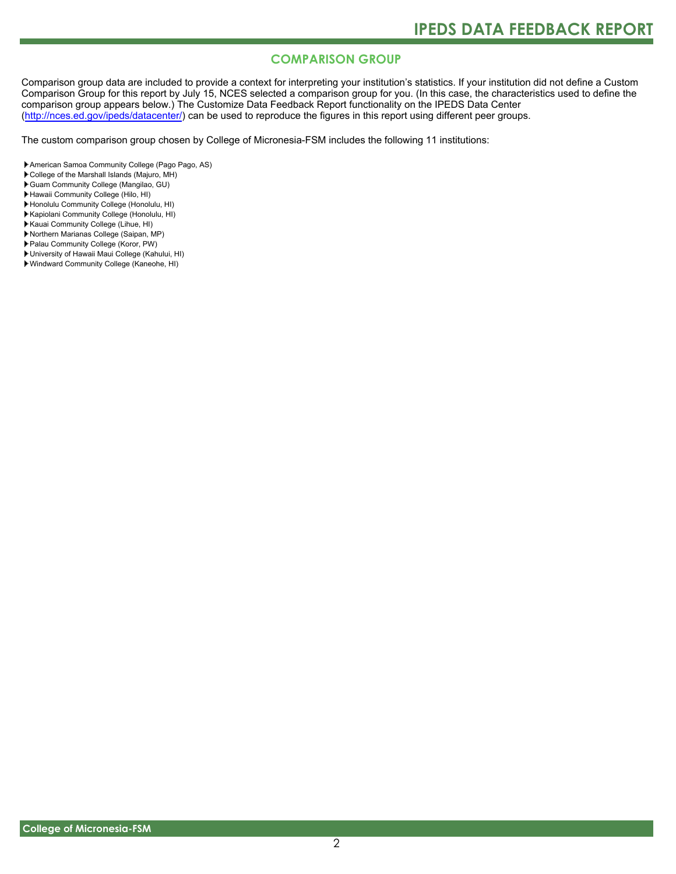### **COMPARISON GROUP**

Comparison group data are included to provide a context for interpreting your institution's statistics. If your institution did not define a Custom Comparison Group for this report by July 15, NCES selected a comparison group for you. (In this case, the characteristics used to define the comparison group appears below.) The Customize Data Feedback Report functionality on the IPEDS Data Center [\(http://nces.ed.gov/ipeds/datacenter/\)](http://nces.ed.gov/ipeds/datacenter/) can be used to reproduce the figures in this report using different peer groups.

The custom comparison group chosen by College of Micronesia-FSM includes the following 11 institutions:

- American Samoa Community College (Pago Pago, AS)
- College of the Marshall Islands (Majuro, MH)
- Guam Community College (Mangilao, GU)
- Hawaii Community College (Hilo, HI)
- Honolulu Community College (Honolulu, HI)
- Kapiolani Community College (Honolulu, HI)
- Kauai Community College (Lihue, HI)
- Northern Marianas College (Saipan, MP)
- Palau Community College (Koror, PW)
- University of Hawaii Maui College (Kahului, HI)
- Windward Community College (Kaneohe, HI)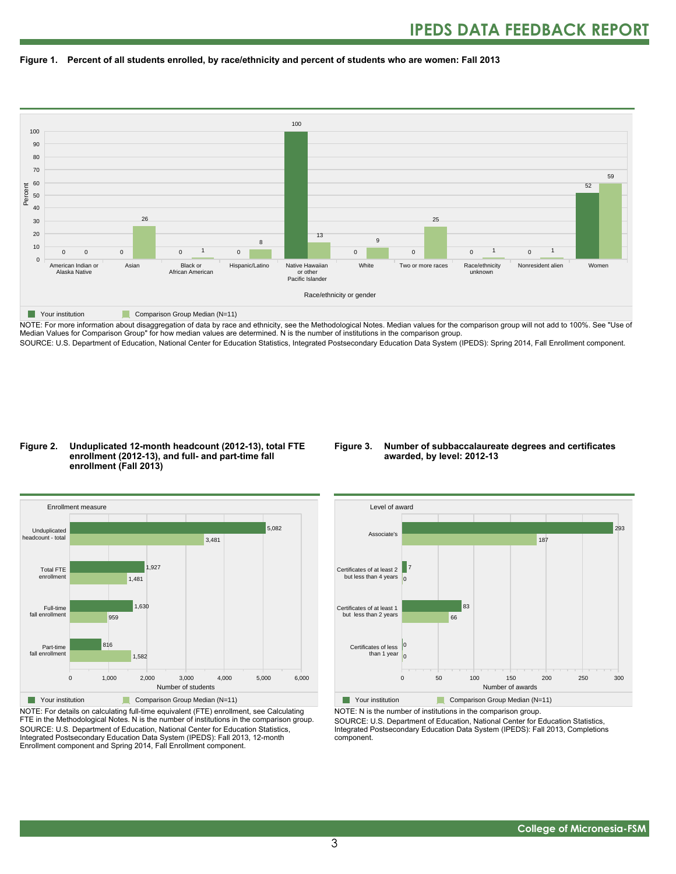



NOTE: For more information about disaggregation of data by race and ethnicity, see the Methodological Notes. Median values for the comparison group will not add to 100%. See "Use of Median Values for Comparison Group" for how median values are determined. N is the number of institutions in the comparison group. SOURCE: U.S. Department of Education, National Center for Education Statistics, Integrated Postsecondary Education Data System (IPEDS): Spring 2014, Fall Enrollment component.

#### **Figure 2. Unduplicated 12-month headcount (2012-13), total FTE enrollment (2012-13), and full- and part-time fall enrollment (Fall 2013)**

#### **Figure 3. Number of subbaccalaureate degrees and certificates awarded, by level: 2012-13**



NOTE: For details on calculating full-time equivalent (FTE) enrollment, see Calculating FTE in the Methodological Notes. N is the number of institutions in the comparison group. SOURCE: U.S. Department of Education, National Center for Education Statistics, Integrated Postsecondary Education Data System (IPEDS): Fall 2013, 12-month Enrollment component and Spring 2014, Fall Enrollment component.



NOTE: N is the number of institutions in the comparison group. SOURCE: U.S. Department of Education, National Center for Education Statistics, Integrated Postsecondary Education Data System (IPEDS): Fall 2013, Completions component.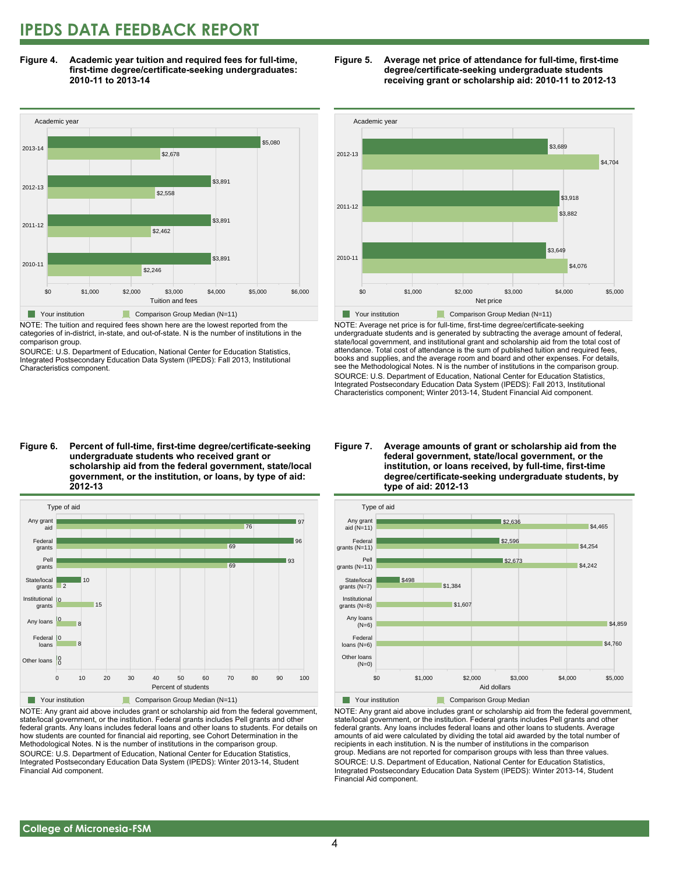## **IPEDS DATA FEEDBACK REPORT**

**Figure 4. Academic year tuition and required fees for full-time, first-time degree/certificate-seeking undergraduates: 2010-11 to 2013-14**



NOTE: The tuition and required fees shown here are the lowest reported from the categories of in-district, in-state, and out-of-state. N is the number of institutions in the comparison group.

SOURCE: U.S. Department of Education, National Center for Education Statistics, Integrated Postsecondary Education Data System (IPEDS): Fall 2013, Institutional Characteristics component.





NOTE: Average net price is for full-time, first-time degree/certificate-seeking undergraduate students and is generated by subtracting the average amount of federal, state/local government, and institutional grant and scholarship aid from the total cost of attendance. Total cost of attendance is the sum of published tuition and required fees, books and supplies, and the average room and board and other expenses. For details, see the Methodological Notes. N is the number of institutions in the comparison group. SOURCE: U.S. Department of Education, National Center for Education Statistics, Integrated Postsecondary Education Data System (IPEDS): Fall 2013, Institutional Characteristics component; Winter 2013-14, Student Financial Aid component.

**Figure 6. Percent of full-time, first-time degree/certificate-seeking undergraduate students who received grant or scholarship aid from the federal government, state/local government, or the institution, or loans, by type of aid: 2012-13**



NOTE: Any grant aid above includes grant or scholarship aid from the federal government, state/local government, or the institution. Federal grants includes Pell grants and other federal grants. Any loans includes federal loans and other loans to students. For details on how students are counted for financial aid reporting, see Cohort Determination in the Methodological Notes. N is the number of institutions in the comparison group. SOURCE: U.S. Department of Education, National Center for Education Statistics, Integrated Postsecondary Education Data System (IPEDS): Winter 2013-14, Student Financial Aid component.

#### **Figure 7. Average amounts of grant or scholarship aid from the federal government, state/local government, or the institution, or loans received, by full-time, first-time degree/certificate-seeking undergraduate students, by type of aid: 2012-13**



NOTE: Any grant aid above includes grant or scholarship aid from the federal government, state/local government, or the institution. Federal grants includes Pell grants and other federal grants. Any loans includes federal loans and other loans to students. Average amounts of aid were calculated by dividing the total aid awarded by the total number of recipients in each institution. N is the number of institutions in the comparison group. Medians are not reported for comparison groups with less than three values. SOURCE: U.S. Department of Education, National Center for Education Statistics, Integrated Postsecondary Education Data System (IPEDS): Winter 2013-14, Student Financial Aid component.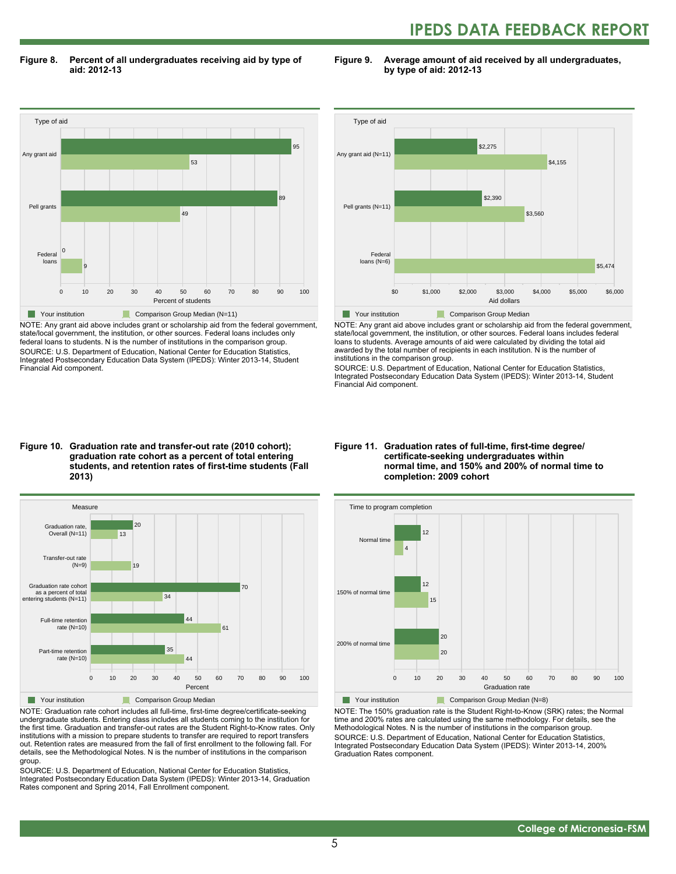## **IPEDS DATA FEEDBACK REPORT**

**Figure 8. Percent of all undergraduates receiving aid by type of aid: 2012-13**

Type of aid 0 10 20 30 40 50 60 70 80 90 100 Percent of students Federal loans Pell grants Any grant aid 9 0 49 89 53 95 Your institution **Comparison Group Median (N=11)** 

NOTE: Any grant aid above includes grant or scholarship aid from the federal government, state/local government, the institution, or other sources. Federal loans includes only federal loans to students. N is the number of institutions in the comparison group. SOURCE: U.S. Department of Education, National Center for Education Statistics, Integrated Postsecondary Education Data System (IPEDS): Winter 2013-14, Student Financial Aid component.

#### **Figure 9. Average amount of aid received by all undergraduates, by type of aid: 2012-13**



NOTE: Any grant aid above includes grant or scholarship aid from the federal government, state/local government, the institution, or other sources. Federal loans includes federal loans to students. Average amounts of aid were calculated by dividing the total aid awarded by the total number of recipients in each institution. N is the number of institutions in the comparison group.

SOURCE: U.S. Department of Education, National Center for Education Statistics, Integrated Postsecondary Education Data System (IPEDS): Winter 2013-14, Student Financial Aid component.

#### **Figure 10. Graduation rate and transfer-out rate (2010 cohort); graduation rate cohort as a percent of total entering students, and retention rates of first-time students (Fall 2013)**



NOTE: Graduation rate cohort includes all full-time, first-time degree/certificate-seeking undergraduate students. Entering class includes all students coming to the institution for the first time. Graduation and transfer-out rates are the Student Right-to-Know rates. Only institutions with a mission to prepare students to transfer are required to report transfers out. Retention rates are measured from the fall of first enrollment to the following fall. For details, see the Methodological Notes. N is the number of institutions in the comparison group.

SOURCE: U.S. Department of Education, National Center for Education Statistics, Integrated Postsecondary Education Data System (IPEDS): Winter 2013-14, Graduation Rates component and Spring 2014, Fall Enrollment component.

#### **Figure 11. Graduation rates of full-time, first-time degree/ certificate-seeking undergraduates within normal time, and 150% and 200% of normal time to completion: 2009 cohort**



NOTE: The 150% graduation rate is the Student Right-to-Know (SRK) rates; the Normal time and 200% rates are calculated using the same methodology. For details, see the Methodological Notes. N is the number of institutions in the comparison group. SOURCE: U.S. Department of Education, National Center for Education Statistics, Integrated Postsecondary Education Data System (IPEDS): Winter 2013-14, 200% Graduation Rates component.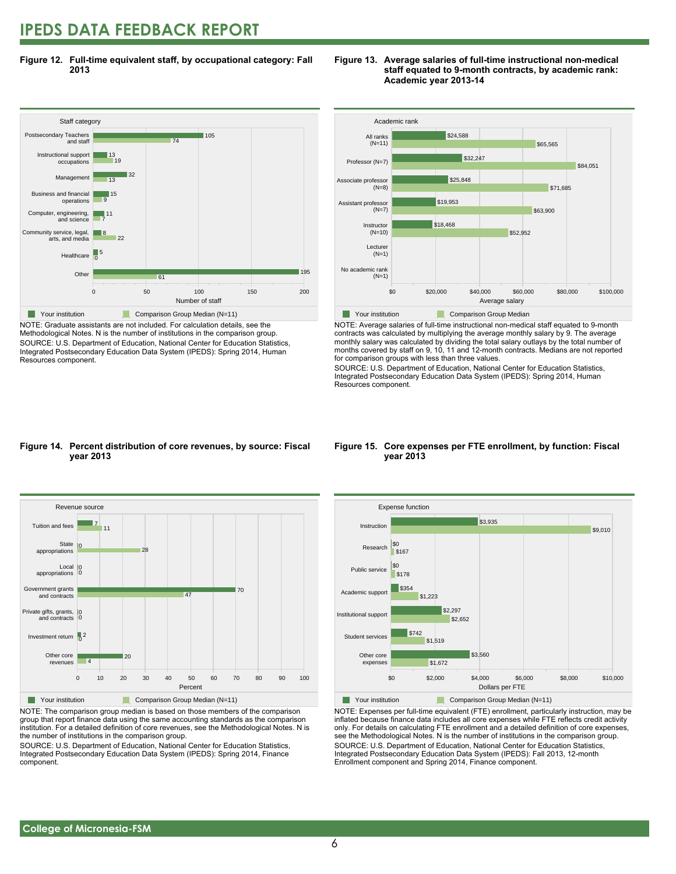## **IPEDS DATA FEEDBACK REPORT**

**Figure 12. Full-time equivalent staff, by occupational category: Fall 2013**



NOTE: Graduate assistants are not included. For calculation details, see the Methodological Notes. N is the number of institutions in the comparison group. SOURCE: U.S. Department of Education, National Center for Education Statistics, Integrated Postsecondary Education Data System (IPEDS): Spring 2014, Human Resources component.

#### **Figure 13. Average salaries of full-time instructional non-medical staff equated to 9-month contracts, by academic rank: Academic year 2013-14**



NOTE: Average salaries of full-time instructional non-medical staff equated to 9-month contracts was calculated by multiplying the average monthly salary by 9. The average monthly salary was calculated by dividing the total salary outlays by the total number of months covered by staff on 9, 10, 11 and 12-month contracts. Medians are not reported for comparison groups with less than three values.

SOURCE: U.S. Department of Education, National Center for Education Statistics, Integrated Postsecondary Education Data System (IPEDS): Spring 2014, Human Resources component.

#### **Figure 14. Percent distribution of core revenues, by source: Fiscal year 2013**



NOTE: The comparison group median is based on those members of the comparison group that report finance data using the same accounting standards as the comparison institution. For a detailed definition of core revenues, see the Methodological Notes. N is the number of institutions in the comparison group.

SOURCE: U.S. Department of Education, National Center for Education Statistics, Integrated Postsecondary Education Data System (IPEDS): Spring 2014, Finance component.

#### **Figure 15. Core expenses per FTE enrollment, by function: Fiscal year 2013**



NOTE: Expenses per full-time equivalent (FTE) enrollment, particularly instruction, may be inflated because finance data includes all core expenses while FTE reflects credit activity only. For details on calculating FTE enrollment and a detailed definition of core expenses, see the Methodological Notes. N is the number of institutions in the comparison group. SOURCE: U.S. Department of Education, National Center for Education Statistics, Integrated Postsecondary Education Data System (IPEDS): Fall 2013, 12-month Enrollment component and Spring 2014, Finance component.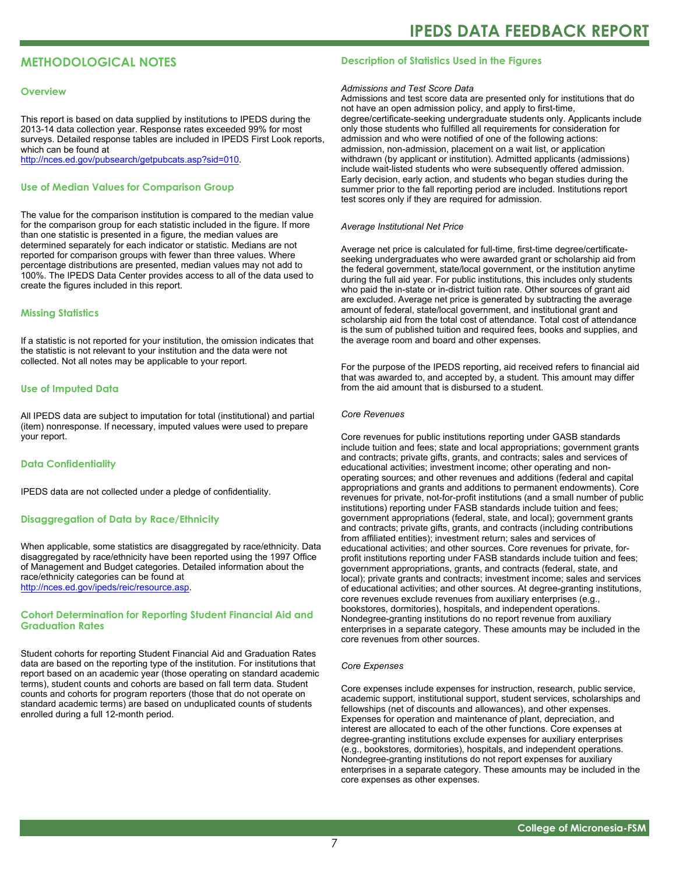### **METHODOLOGICAL NOTES**

#### **Overview**

This report is based on data supplied by institutions to IPEDS during the 2013-14 data collection year. Response rates exceeded 99% for most surveys. Detailed response tables are included in IPEDS First Look reports, which can be found at [http://nces.ed.gov/pubsearch/getpubcats.asp?sid=010.](http://nces.ed.gov/pubsearch/getpubcats.asp?sid=010)

#### **Use of Median Values for Comparison Group**

The value for the comparison institution is compared to the median value for the comparison group for each statistic included in the figure. If more than one statistic is presented in a figure, the median values are determined separately for each indicator or statistic. Medians are not reported for comparison groups with fewer than three values. Where percentage distributions are presented, median values may not add to 100%. The IPEDS Data Center provides access to all of the data used to create the figures included in this report.

#### **Missing Statistics**

If a statistic is not reported for your institution, the omission indicates that the statistic is not relevant to your institution and the data were not collected. Not all notes may be applicable to your report.

#### **Use of Imputed Data**

All IPEDS data are subject to imputation for total (institutional) and partial (item) nonresponse. If necessary, imputed values were used to prepare your report.

#### **Data Confidentiality**

IPEDS data are not collected under a pledge of confidentiality.

#### **Disaggregation of Data by Race/Ethnicity**

When applicable, some statistics are disaggregated by race/ethnicity. Data disaggregated by race/ethnicity have been reported using the 1997 Office of Management and Budget categories. Detailed information about the race/ethnicity categories can be found at <http://nces.ed.gov/ipeds/reic/resource.asp>.

#### **Cohort Determination for Reporting Student Financial Aid and Graduation Rates**

Student cohorts for reporting Student Financial Aid and Graduation Rates data are based on the reporting type of the institution. For institutions that report based on an academic year (those operating on standard academic terms), student counts and cohorts are based on fall term data. Student counts and cohorts for program reporters (those that do not operate on standard academic terms) are based on unduplicated counts of students enrolled during a full 12-month period.

#### **Description of Statistics Used in the Figures**

#### *Admissions and Test Score Data*

Admissions and test score data are presented only for institutions that do not have an open admission policy, and apply to first-time, degree/certificate-seeking undergraduate students only. Applicants include only those students who fulfilled all requirements for consideration for admission and who were notified of one of the following actions: admission, non-admission, placement on a wait list, or application withdrawn (by applicant or institution). Admitted applicants (admissions) include wait-listed students who were subsequently offered admission. Early decision, early action, and students who began studies during the summer prior to the fall reporting period are included. Institutions report test scores only if they are required for admission.

#### *Average Institutional Net Price*

Average net price is calculated for full-time, first-time degree/certificateseeking undergraduates who were awarded grant or scholarship aid from the federal government, state/local government, or the institution anytime during the full aid year. For public institutions, this includes only students who paid the in-state or in-district tuition rate. Other sources of grant aid are excluded. Average net price is generated by subtracting the average amount of federal, state/local government, and institutional grant and scholarship aid from the total cost of attendance. Total cost of attendance is the sum of published tuition and required fees, books and supplies, and the average room and board and other expenses.

For the purpose of the IPEDS reporting, aid received refers to financial aid that was awarded to, and accepted by, a student. This amount may differ from the aid amount that is disbursed to a student.

#### *Core Revenues*

Core revenues for public institutions reporting under GASB standards include tuition and fees; state and local appropriations; government grants and contracts; private gifts, grants, and contracts; sales and services of educational activities; investment income; other operating and nonoperating sources; and other revenues and additions (federal and capital appropriations and grants and additions to permanent endowments). Core revenues for private, not-for-profit institutions (and a small number of public institutions) reporting under FASB standards include tuition and fees; government appropriations (federal, state, and local); government grants and contracts; private gifts, grants, and contracts (including contributions from affiliated entities); investment return; sales and services of educational activities; and other sources. Core revenues for private, forprofit institutions reporting under FASB standards include tuition and fees; government appropriations, grants, and contracts (federal, state, and local); private grants and contracts; investment income; sales and services of educational activities; and other sources. At degree-granting institutions, core revenues exclude revenues from auxiliary enterprises (e.g., bookstores, dormitories), hospitals, and independent operations. Nondegree-granting institutions do no report revenue from auxiliary enterprises in a separate category. These amounts may be included in the core revenues from other sources.

#### *Core Expenses*

Core expenses include expenses for instruction, research, public service, academic support, institutional support, student services, scholarships and fellowships (net of discounts and allowances), and other expenses. Expenses for operation and maintenance of plant, depreciation, and interest are allocated to each of the other functions. Core expenses at degree-granting institutions exclude expenses for auxiliary enterprises (e.g., bookstores, dormitories), hospitals, and independent operations. Nondegree-granting institutions do not report expenses for auxiliary enterprises in a separate category. These amounts may be included in the core expenses as other expenses.